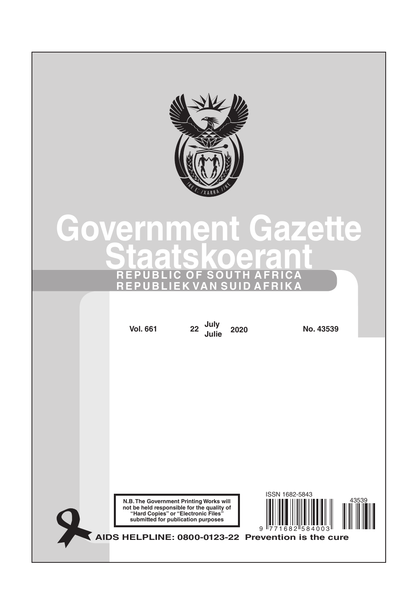

# **Government Gazette Staatskoerant REPUBLIC OF SOUTH AFRICA REPUBLIEK VAN SUID AFRIKA**

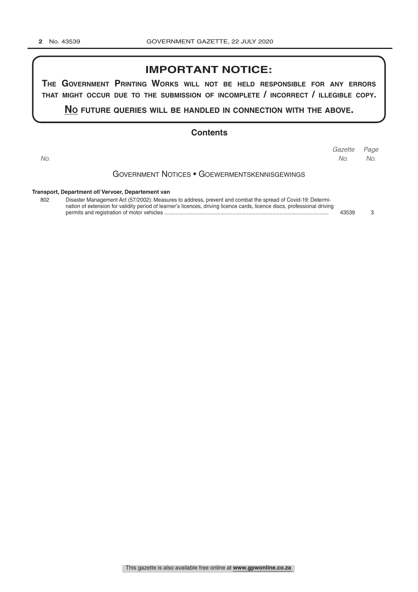## **IMPORTANT NOTICE:**

**The GovernmenT PrinTinG Works Will noT be held resPonsible for any errors ThaT miGhT occur due To The submission of incomPleTe / incorrecT / illeGible coPy.**

**no fuTure queries Will be handled in connecTion WiTh The above.**

#### **Contents**

Government Notices • Goewermentskennisgewings **Transport, Department of/ Vervoer, Departement van** *Page Gazette No. No. No.*

| 802 | Disaster Management Act (57/2002): Measures to address, prevent and combat the spread of Covid-19: Determi-               |       |    |
|-----|---------------------------------------------------------------------------------------------------------------------------|-------|----|
|     | nation of extension for validity period of learner's licences, driving licence cards, licence discs, professional driving |       |    |
|     |                                                                                                                           | 43539 | -3 |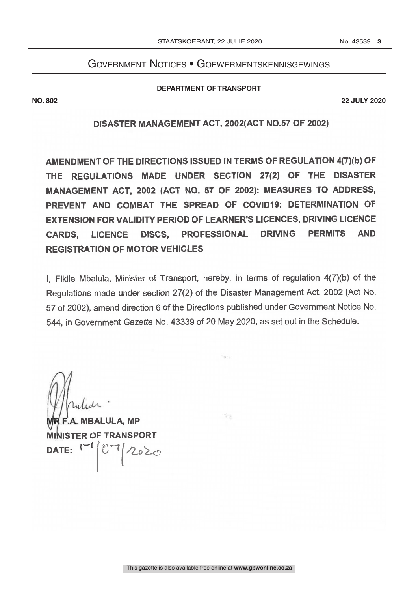# Government Notices • Goewermentskennisgewings

#### **DEPARTMENT OF TRANSPORT**

**NO. 802 22 JULY 2020**

## DISASTER MANAGEMENT ACT, 2002(ACT NO.57 OF 2002)

AMENDMENT OF THE DIRECTIONS ISSUED IN TERMS OF REGULATION 4(7)(b) OF THE REGULATIONS MADE UNDER SECTION 27(2) OF THE DISASTER MANAGEMENT ACT, 2002 (ACT NO. 57 OF 2002): MEASURES TO ADDRESS, PREVENT AND COMBAT THE SPREAD OF COVID19: DETERMINATION OF EXTENSION FOR VALIDITY PERIOD OF LEARNER'S LICENCES, DRIVING LICENCE CARDS, LICENCE DISCS, PROFESSIONAL DRIVING PERMITS AND REGISTRATION OF MOTOR VEHICLES

I, Fikile Mbalula, Minister of Transport, hereby, in terms of regulation 4(7)(b) of the Regulations made under section 27(2) of the Disaster Management Act, 2002 (Act No. 57 of 2002), amend direction 6 of the Directions published under Government Notice No. 544, in Government Gazette No. 43339 of 20 May 2020, as set out in the Schedule.

 $22$ 

 $\mu$ 

MBALULA, MP **MINISTER OF TRANSPORT** DATE:  $1907/2020$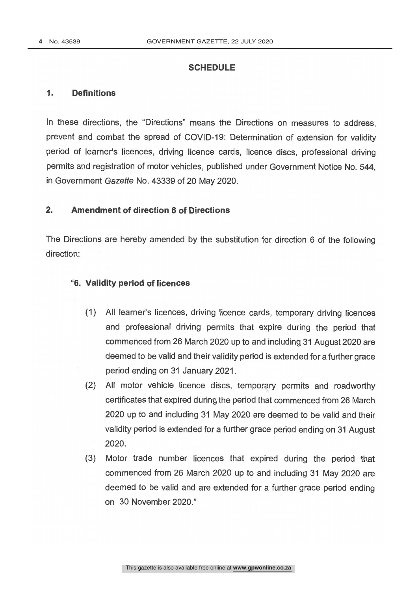#### **SCHEDULE**

#### 1. Definitions

In these directions, the "Directions" means the Directions on measures to address, prevent and combat the spread of COVID-19: Determination of extension for validity period of learner's licences, driving licence cards, licence discs, professional driving permits and registration of motor vehicles, published under Government Notice No. 544, in Government Gazette No. 43339 of 20 May 2020.

### 2. Amendment of direction 6 of Directions

The Directions are hereby amended by the substitution for direction 6 of the following direction:

#### "6. Validity period of licences

- (1) All learner's licences, driving licence cards, temporary driving licences and professional driving permits that expire during the period that commenced from 26 March 2020 up to and including 31 August 2020 are deemed to be valid and their validity period is extended for a further grace period ending on 31 January 2021.
- (2) All motor vehicle licence discs, temporary permits and roadworthy certificates that expired during the period that commenced from 26 March 2020 up to and including 31 May 2020 are deemed to be valid and their validity period is extended for a further grace period ending on 31 August 2020.
- (3) Motor trade number licences that expired during the period that commenced from 26 March 2020 up to and including 31 May 2020 are deemed to be valid and are extended for a further grace period ending on 30 November 2020."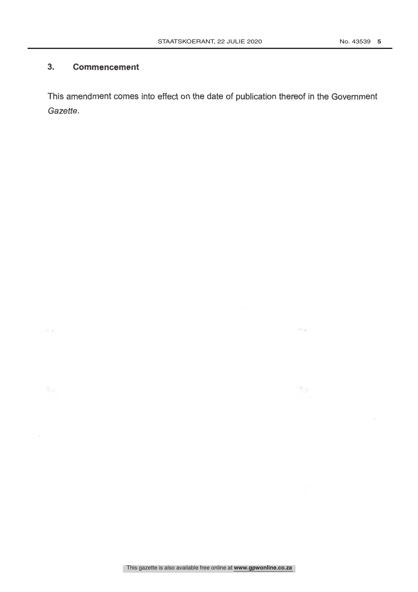$\sim$ 

 $\mathbb{R}$ 

## 3. Commencement

**HELP** 

This amendment comes into effect on the date of publication thereof in the Government Gazette.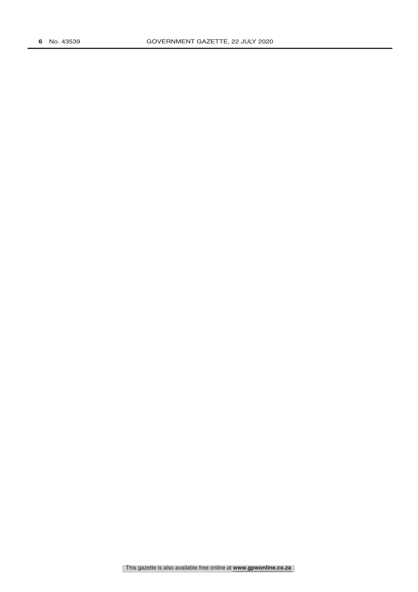This gazette is also available free online at **www.gpwonline.co.za**